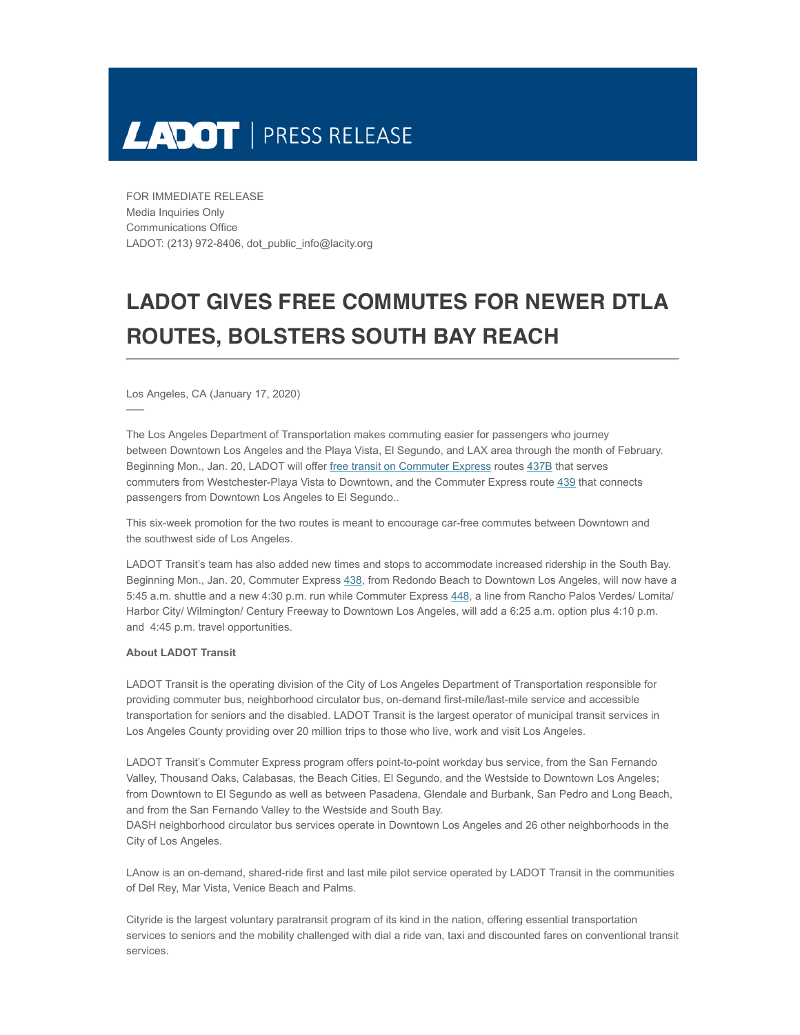

FOR IMMEDIATE RELEASE Media Inquiries Only Communications Office LADOT: (213) 972-8406, dot\_public\_info@lacity.org

## **LADOT GIVES FREE COMMUTES FOR NEWER DTLA ROUTES, BOLSTERS SOUTH BAY REACH**

Los Angeles, CA (January 17, 2020)

–––

The Los Angeles Department of Transportation makes commuting easier for passengers who journey between Downtown Los Angeles and the Playa Vista, El Segundo, and LAX area through the month of February. Beginning Mon., Jan. 20, LADOT will offer [free transit on Commuter Express](https://www.ladottransit.com/trycommuter/) routes [437B](https://www.ladottransit.com/comexp/routes/437/437.html) that serves commuters from Westchester-Playa Vista to Downtown, and the Commuter Express route [439](https://www.ladottransit.com/comexp/routes/439/439.html) that connects passengers from Downtown Los Angeles to El Segundo..

This six-week promotion for the two routes is meant to encourage car-free commutes between Downtown and the southwest side of Los Angeles.

LADOT Transit's team has also added new times and stops to accommodate increased ridership in the South Bay. Beginning Mon., Jan. 20, Commuter Express [438](https://www.ladottransit.com/comexp/routes/438/012020/438.html), from Redondo Beach to Downtown Los Angeles, will now have a 5:45 a.m. shuttle and a new 4:30 p.m. run while Commuter Express [448](https://www.ladottransit.com/comexp/routes/448/448.html), a line from Rancho Palos Verdes/ Lomita/ Harbor City/ Wilmington/ Century Freeway to Downtown Los Angeles, will add a 6:25 a.m. option plus 4:10 p.m. and 4:45 p.m. travel opportunities.

## **About LADOT Transit**

LADOT Transit is the operating division of the City of Los Angeles Department of Transportation responsible for providing commuter bus, neighborhood circulator bus, on-demand first-mile/last-mile service and accessible transportation for seniors and the disabled. LADOT Transit is the largest operator of municipal transit services in Los Angeles County providing over 20 million trips to those who live, work and visit Los Angeles.

LADOT Transit's Commuter Express program offers point-to-point workday bus service, from the San Fernando Valley, Thousand Oaks, Calabasas, the Beach Cities, El Segundo, and the Westside to Downtown Los Angeles; from Downtown to El Segundo as well as between Pasadena, Glendale and Burbank, San Pedro and Long Beach, and from the San Fernando Valley to the Westside and South Bay.

DASH neighborhood circulator bus services operate in Downtown Los Angeles and 26 other neighborhoods in the City of Los Angeles.

LAnow is an on-demand, shared-ride first and last mile pilot service operated by LADOT Transit in the communities of Del Rey, Mar Vista, Venice Beach and Palms.

Cityride is the largest voluntary paratransit program of its kind in the nation, offering essential transportation services to seniors and the mobility challenged with dial a ride van, taxi and discounted fares on conventional transit services.